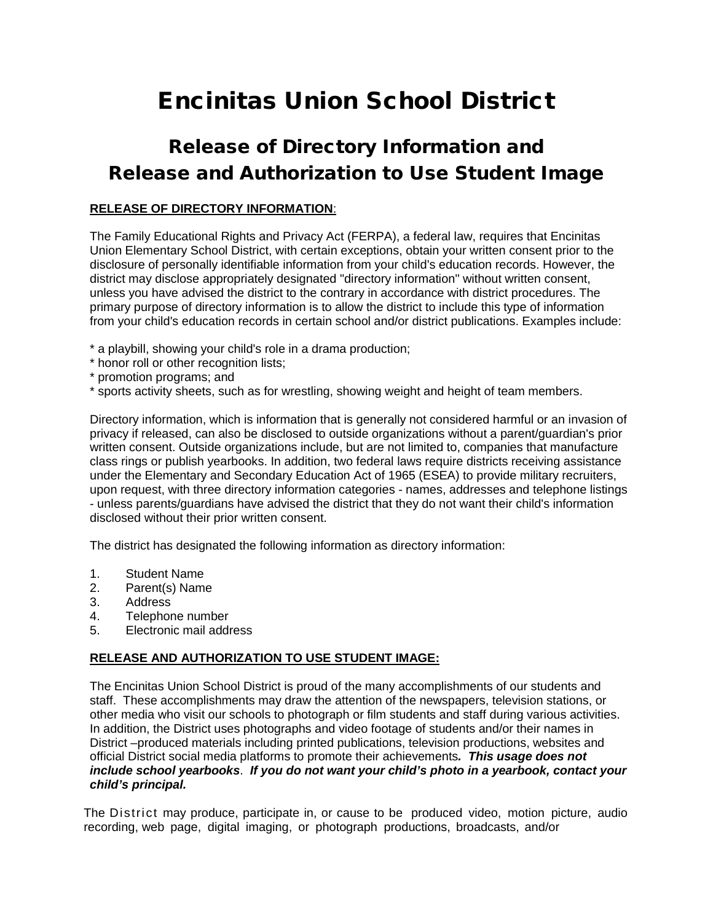## Encinitas Union School District

## Release of Directory Information and Release and Authorization to Use Student Image

## **RELEASE OF DIRECTORY INFORMATION**:

The Family Educational Rights and Privacy Act (FERPA), a federal law, requires that Encinitas Union Elementary School District, with certain exceptions, obtain your written consent prior to the disclosure of personally identifiable information from your child's education records. However, the district may disclose appropriately designated "directory information" without written consent, unless you have advised the district to the contrary in accordance with district procedures. The primary purpose of directory information is to allow the district to include this type of information from your child's education records in certain school and/or district publications. Examples include:

- \* a playbill, showing your child's role in a drama production;
- \* honor roll or other recognition lists;
- \* promotion programs; and
- \* sports activity sheets, such as for wrestling, showing weight and height of team members.

Directory information, which is information that is generally not considered harmful or an invasion of privacy if released, can also be disclosed to outside organizations without a parent/guardian's prior written consent. Outside organizations include, but are not limited to, companies that manufacture class rings or publish yearbooks. In addition, two federal laws require districts receiving assistance under the Elementary and Secondary Education Act of 1965 (ESEA) to provide military recruiters, upon request, with three directory information categories - names, addresses and telephone listings - unless parents/guardians have advised the district that they do not want their child's information disclosed without their prior written consent.

The district has designated the following information as directory information:

- 1. Student Name
- 2. Parent(s) Name<br>3. Address
- **Address**
- 4. Telephone number
- 5. Electronic mail address

## **RELEASE AND AUTHORIZATION TO USE STUDENT IMAGE:**

The Encinitas Union School District is proud of the many accomplishments of our students and staff. These accomplishments may draw the attention of the newspapers, television stations, or other media who visit our schools to photograph or film students and staff during various activities. In addition, the District uses photographs and video footage of students and/or their names in District –produced materials including printed publications, television productions, websites and official District social media platforms to promote their achievements*. This usage does not include school yearbooks*. *If you do not want your child's photo in a yearbook, contact your child's principal.* 

The District may produce, participate in, or cause to be produced video, motion picture, audio recording, web page, digital imaging, or photograph productions, broadcasts, and/or